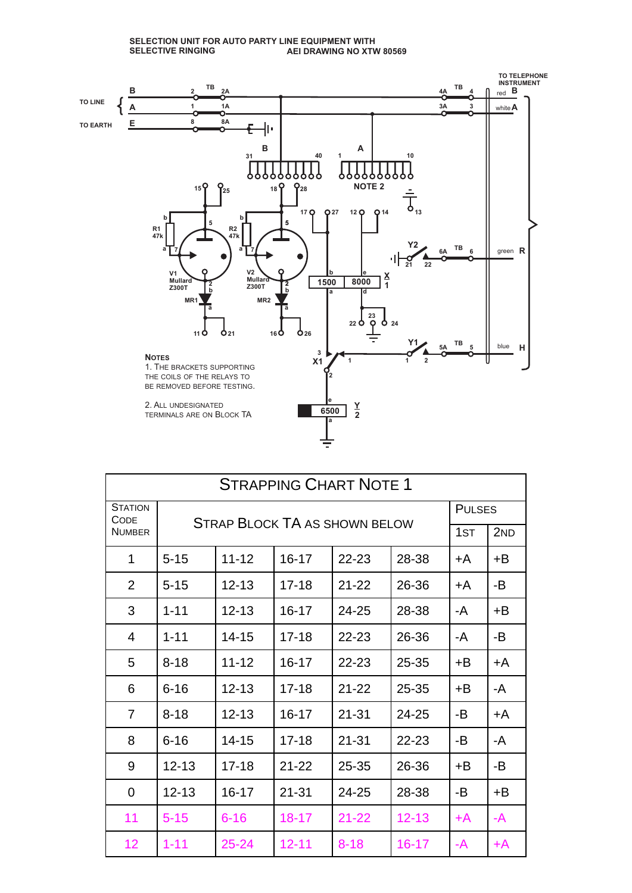

| <b>STRAPPING CHART NOTE 1</b> |                                              |           |           |           |           |                 |     |
|-------------------------------|----------------------------------------------|-----------|-----------|-----------|-----------|-----------------|-----|
| <b>STATION</b>                | CODE<br><b>STRAP BLOCK TA AS SHOWN BELOW</b> |           |           |           |           | <b>PULSES</b>   |     |
| <b>NUMBER</b>                 |                                              |           |           |           |           | 1 <sub>ST</sub> | 2ND |
| 1                             | $5 - 15$                                     | $11 - 12$ | $16 - 17$ | 22-23     | 28-38     | +A              | +B  |
| $\overline{2}$                | $5 - 15$                                     | $12 - 13$ | $17 - 18$ | $21 - 22$ | 26-36     | +A              | -B  |
| 3                             | $1 - 11$                                     | $12 - 13$ | $16 - 17$ | 24-25     | 28-38     | -A              | +B  |
| $\overline{4}$                | $1 - 11$                                     | $14 - 15$ | $17 - 18$ | $22 - 23$ | 26-36     | -A              | -B  |
| 5                             | $8 - 18$                                     | $11 - 12$ | 16-17     | $22 - 23$ | 25-35     | +B              | +A  |
| 6                             | $6 - 16$                                     | $12 - 13$ | $17 - 18$ | $21 - 22$ | 25-35     | $+B$            | -A  |
| $\overline{7}$                | $8 - 18$                                     | $12 - 13$ | $16 - 17$ | $21 - 31$ | 24-25     | -B              | +A  |
| 8                             | $6 - 16$                                     | $14 - 15$ | $17 - 18$ | $21 - 31$ | 22-23     | -B              | -A  |
| 9                             | $12 - 13$                                    | $17 - 18$ | $21 - 22$ | 25-35     | 26-36     | +B              | -B  |
| $\Omega$                      | $12 - 13$                                    | $16 - 17$ | $21 - 31$ | 24-25     | 28-38     | -B              | +B  |
| 11                            | $5 - 15$                                     | $6 - 16$  | $18 - 17$ | $21 - 22$ | $12 - 13$ | +A              | -A  |
| 12                            | $1 - 11$                                     | $25 - 24$ | $12 - 11$ | $8 - 18$  | $16 - 17$ | -A              | +A  |